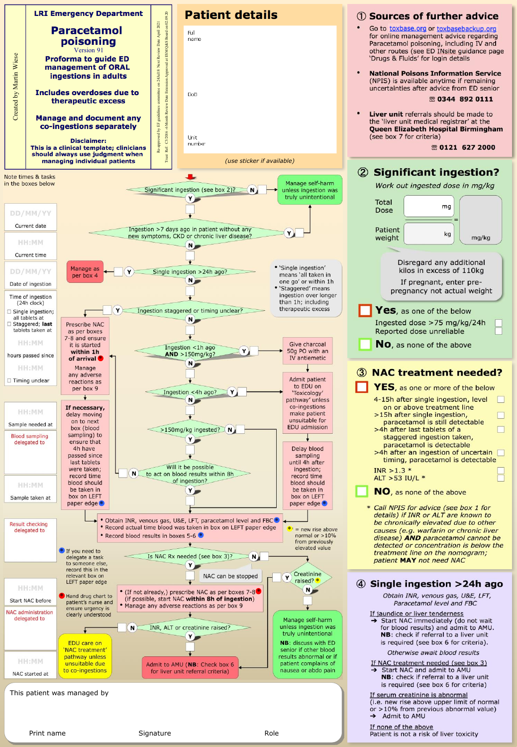